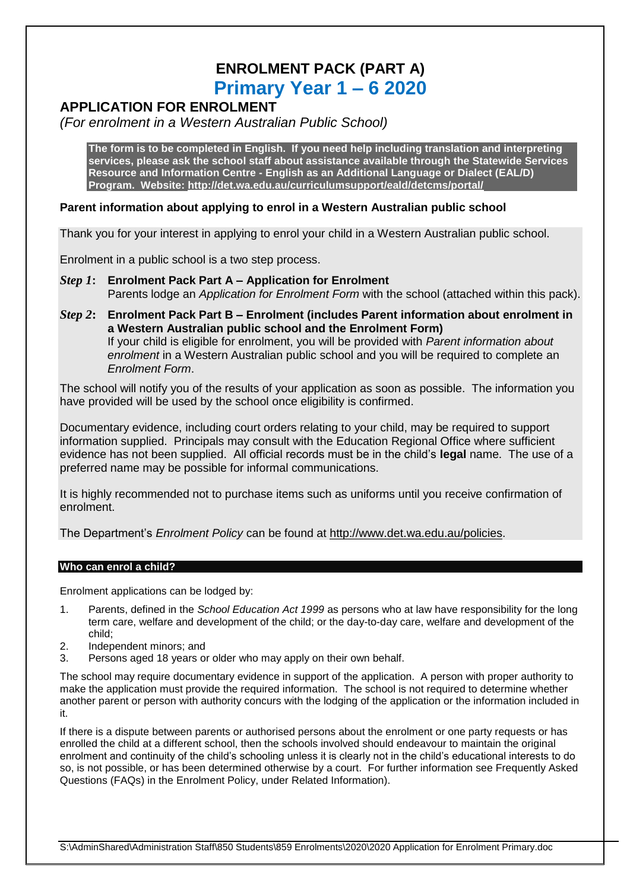# **ENROLMENT PACK (PART A) Primary Year 1 – 6 2020**

## **APPLICATION FOR ENROLMENT**

*(For enrolment in a Western Australian Public School)*

**The form is to be completed in English. If you need help including translation and interpreting services, please ask the school staff about assistance available through the Statewide Services Resource and Information Centre - English as an Additional Language or Dialect (EAL/D) Program. Website:<http://det.wa.edu.au/curriculumsupport/eald/detcms/portal/>**

### **Parent information about applying to enrol in a Western Australian public school**

Thank you for your interest in applying to enrol your child in a Western Australian public school.

Enrolment in a public school is a two step process.

- *Step 1***: Enrolment Pack Part A – Application for Enrolment** Parents lodge an *Application for Enrolment Form* with the school (attached within this pack).
- *Step 2***: Enrolment Pack Part B – Enrolment (includes Parent information about enrolment in a Western Australian public school and the Enrolment Form)** If your child is eligible for enrolment, you will be provided with *Parent information about enrolment* in a Western Australian public school and you will be required to complete an *Enrolment Form*.

The school will notify you of the results of your application as soon as possible. The information you have provided will be used by the school once eligibility is confirmed.

Documentary evidence, including court orders relating to your child, may be required to support information supplied. Principals may consult with the Education Regional Office where sufficient evidence has not been supplied. All official records must be in the child's **legal** name. The use of a preferred name may be possible for informal communications.

It is highly recommended not to purchase items such as uniforms until you receive confirmation of enrolment.

The Department's *Enrolment Policy* can be found at [http://www.det.wa.edu.au/policies.](http://www.det.wa.edu.au/policies)

#### **Who can enrol a child?**

Enrolment applications can be lodged by:

- 1. Parents, defined in the *School Education Act 1999* as persons who at law have responsibility for the long term care, welfare and development of the child; or the day-to-day care, welfare and development of the child;
- 2. Independent minors; and
- 3. Persons aged 18 years or older who may apply on their own behalf.

The school may require documentary evidence in support of the application. A person with proper authority to make the application must provide the required information. The school is not required to determine whether another parent or person with authority concurs with the lodging of the application or the information included in it.

If there is a dispute between parents or authorised persons about the enrolment or one party requests or has enrolled the child at a different school, then the schools involved should endeavour to maintain the original enrolment and continuity of the child's schooling unless it is clearly not in the child's educational interests to do so, is not possible, or has been determined otherwise by a court. For further information see Frequently Asked Questions (FAQs) in the Enrolment Policy, under Related Information).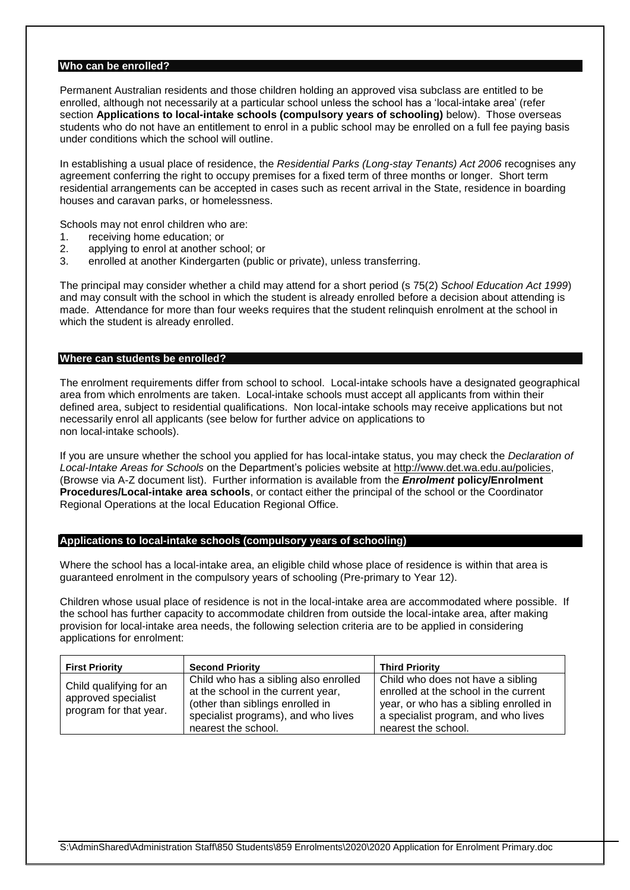#### **Who can be enrolled?**

Permanent Australian residents and those children holding an approved visa subclass are entitled to be enrolled, although not necessarily at a particular school unless the school has a 'local-intake area' (refer section **Applications to local-intake schools (compulsory years of schooling)** below). Those overseas students who do not have an entitlement to enrol in a public school may be enrolled on a full fee paying basis under conditions which the school will outline.

In establishing a usual place of residence, the *Residential Parks (Long-stay Tenants) Act 2006* recognises any agreement conferring the right to occupy premises for a fixed term of three months or longer. Short term residential arrangements can be accepted in cases such as recent arrival in the State, residence in boarding houses and caravan parks, or homelessness.

Schools may not enrol children who are:

- 1. receiving home education; or
- 2. applying to enrol at another school; or
- 3. enrolled at another Kindergarten (public or private), unless transferring.

The principal may consider whether a child may attend for a short period (s 75(2) *School Education Act 1999*) and may consult with the school in which the student is already enrolled before a decision about attending is made. Attendance for more than four weeks requires that the student relinquish enrolment at the school in which the student is already enrolled.

#### **Where can students be enrolled?**

The enrolment requirements differ from school to school. Local-intake schools have a designated geographical area from which enrolments are taken. Local-intake schools must accept all applicants from within their defined area, subject to residential qualifications. Non local-intake schools may receive applications but not necessarily enrol all applicants (see below for further advice on applications to non local-intake schools).

If you are unsure whether the school you applied for has local-intake status, you may check the *Declaration of Local-Intake Areas for Schools* on the Department's policies website at [http://www.det.wa.edu.au/policies,](http://www.det.wa.edu.au/policies) (Browse via A-Z document list). Further information is available from the *Enrolment* **policy/Enrolment Procedures/Local-intake area schools**, or contact either the principal of the school or the Coordinator Regional Operations at the local Education Regional Office.

#### **Applications to local-intake schools (compulsory years of schooling)**

Where the school has a local-intake area, an eligible child whose place of residence is within that area is guaranteed enrolment in the compulsory years of schooling (Pre-primary to Year 12).

Children whose usual place of residence is not in the local-intake area are accommodated where possible. If the school has further capacity to accommodate children from outside the local-intake area, after making provision for local-intake area needs, the following selection criteria are to be applied in considering applications for enrolment:

| <b>First Priority</b>                                                    | <b>Second Priority</b>                                                                         | <b>Third Priority</b>                                                                                |
|--------------------------------------------------------------------------|------------------------------------------------------------------------------------------------|------------------------------------------------------------------------------------------------------|
| Child qualifying for an<br>approved specialist<br>program for that year. | Child who has a sibling also enrolled<br>at the school in the current year,                    | Child who does not have a sibling<br>enrolled at the school in the current                           |
|                                                                          | (other than siblings enrolled in<br>specialist programs), and who lives<br>nearest the school. | year, or who has a sibling enrolled in<br>a specialist program, and who lives<br>nearest the school. |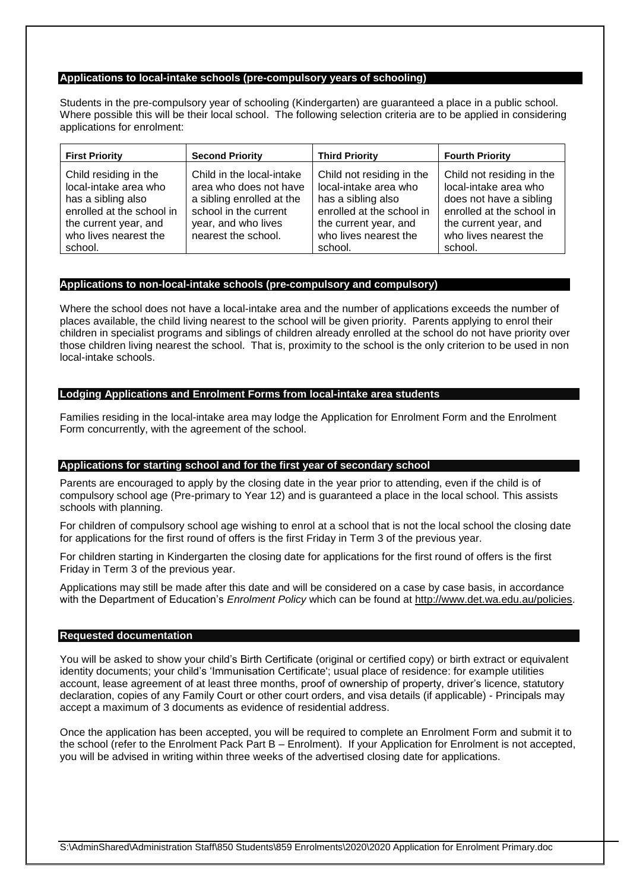#### **Applications to local-intake schools (pre-compulsory years of schooling)**

Students in the pre-compulsory year of schooling (Kindergarten) are guaranteed a place in a public school. Where possible this will be their local school. The following selection criteria are to be applied in considering applications for enrolment:

| <b>First Priority</b>                                                                                                                                          | <b>Second Priority</b>                                                                                                                                  | <b>Third Priority</b>                                                                                                                                              | <b>Fourth Priority</b>                                                                                                                                                  |
|----------------------------------------------------------------------------------------------------------------------------------------------------------------|---------------------------------------------------------------------------------------------------------------------------------------------------------|--------------------------------------------------------------------------------------------------------------------------------------------------------------------|-------------------------------------------------------------------------------------------------------------------------------------------------------------------------|
| Child residing in the<br>local-intake area who<br>has a sibling also<br>enrolled at the school in<br>the current year, and<br>who lives nearest the<br>school. | Child in the local-intake<br>area who does not have<br>a sibling enrolled at the<br>school in the current<br>year, and who lives<br>nearest the school. | Child not residing in the<br>local-intake area who<br>has a sibling also<br>enrolled at the school in<br>the current year, and<br>who lives nearest the<br>school. | Child not residing in the<br>local-intake area who<br>does not have a sibling<br>enrolled at the school in<br>the current year, and<br>who lives nearest the<br>school. |

#### **Applications to non-local-intake schools (pre-compulsory and compulsory)**

Where the school does not have a local-intake area and the number of applications exceeds the number of places available, the child living nearest to the school will be given priority. Parents applying to enrol their children in specialist programs and siblings of children already enrolled at the school do not have priority over those children living nearest the school. That is, proximity to the school is the only criterion to be used in non local-intake schools.

#### **Lodging Applications and Enrolment Forms from local-intake area students**

Families residing in the local-intake area may lodge the Application for Enrolment Form and the Enrolment Form concurrently, with the agreement of the school.

#### **Applications for starting school and for the first year of secondary school**

Parents are encouraged to apply by the closing date in the year prior to attending, even if the child is of compulsory school age (Pre-primary to Year 12) and is guaranteed a place in the local school. This assists schools with planning.

For children of compulsory school age wishing to enrol at a school that is not the local school the closing date for applications for the first round of offers is the first Friday in Term 3 of the previous year.

For children starting in Kindergarten the closing date for applications for the first round of offers is the first Friday in Term 3 of the previous year.

Applications may still be made after this date and will be considered on a case by case basis, in accordance with the Department of Education's *Enrolment Policy* which can be found at [http://www.det.wa.edu.au/policies.](http://www.det.wa.edu.au/policies)

#### **Requested documentation**

You will be asked to show your child's Birth Certificate (original or certified copy) or birth extract or equivalent identity documents; your child's 'Immunisation Certificate'; usual place of residence: for example utilities account, lease agreement of at least three months, proof of ownership of property, driver's licence, statutory declaration, copies of any Family Court or other court orders, and visa details (if applicable) - Principals may accept a maximum of 3 documents as evidence of residential address.

Once the application has been accepted, you will be required to complete an Enrolment Form and submit it to the school (refer to the Enrolment Pack Part B – Enrolment). If your Application for Enrolment is not accepted, you will be advised in writing within three weeks of the advertised closing date for applications.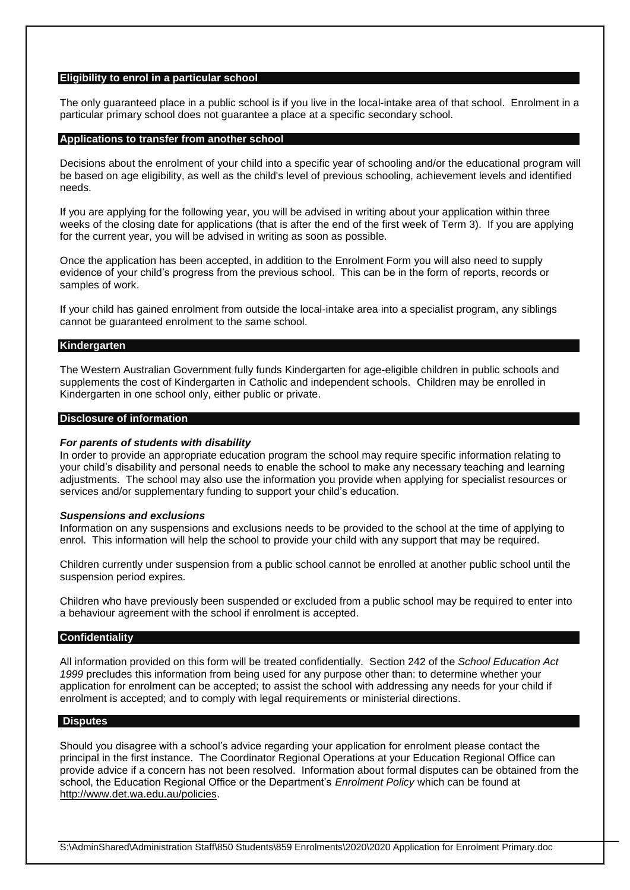#### **Eligibility to enrol in a particular school**

The only guaranteed place in a public school is if you live in the local-intake area of that school. Enrolment in a particular primary school does not guarantee a place at a specific secondary school.

#### **Applications to transfer from another school**

Decisions about the enrolment of your child into a specific year of schooling and/or the educational program will be based on age eligibility, as well as the child's level of previous schooling, achievement levels and identified needs.

If you are applying for the following year, you will be advised in writing about your application within three weeks of the closing date for applications (that is after the end of the first week of Term 3). If you are applying for the current year, you will be advised in writing as soon as possible.

Once the application has been accepted, in addition to the Enrolment Form you will also need to supply evidence of your child's progress from the previous school. This can be in the form of reports, records or samples of work.

If your child has gained enrolment from outside the local-intake area into a specialist program, any siblings cannot be guaranteed enrolment to the same school.

#### **Kindergarten**

The Western Australian Government fully funds Kindergarten for age-eligible children in public schools and supplements the cost of Kindergarten in Catholic and independent schools. Children may be enrolled in Kindergarten in one school only, either public or private.

#### **Disclosure of information**

#### *For parents of students with disability*

In order to provide an appropriate education program the school may require specific information relating to your child's disability and personal needs to enable the school to make any necessary teaching and learning adjustments. The school may also use the information you provide when applying for specialist resources or services and/or supplementary funding to support your child's education.

#### *Suspensions and exclusions*

Information on any suspensions and exclusions needs to be provided to the school at the time of applying to enrol. This information will help the school to provide your child with any support that may be required.

Children currently under suspension from a public school cannot be enrolled at another public school until the suspension period expires.

Children who have previously been suspended or excluded from a public school may be required to enter into a behaviour agreement with the school if enrolment is accepted.

#### **Confidentiality**

All information provided on this form will be treated confidentially. Section 242 of the *School Education Act 1999* precludes this information from being used for any purpose other than: to determine whether your application for enrolment can be accepted; to assist the school with addressing any needs for your child if enrolment is accepted; and to comply with legal requirements or ministerial directions.

#### **Disputes**

Should you disagree with a school's advice regarding your application for enrolment please contact the principal in the first instance. The Coordinator Regional Operations at your Education Regional Office can provide advice if a concern has not been resolved. Information about formal disputes can be obtained from the school, the Education Regional Office or the Department's *Enrolment Policy* which can be found at [http://www.det.wa.edu.au/policies.](http://www.det.wa.edu.au/policies)

S:\AdminShared\Administration Staff\850 Students\859 Enrolments\2020\2020 Application for Enrolment Primary.doc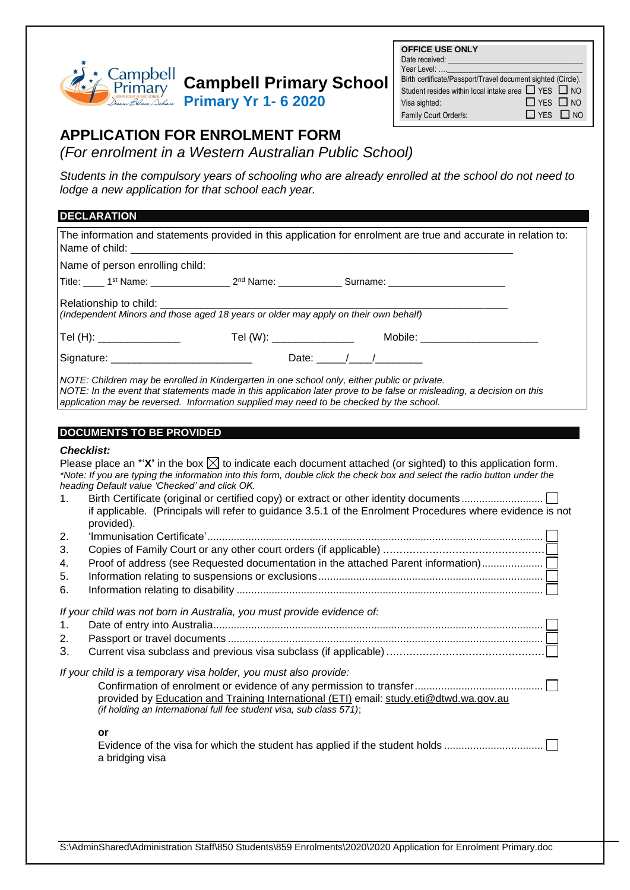

# **Campbell Primary School**

**Primary Yr 1- 6 2020**

| <b>OFFICE USE ONLY</b>                                        |                      |  |
|---------------------------------------------------------------|----------------------|--|
| Date received:                                                |                      |  |
| Year Level:                                                   |                      |  |
| Birth certificate/Passport/Travel document sighted (Circle).  |                      |  |
| Student resides within local intake area $\Box$ YES $\Box$ NO |                      |  |
| Visa sighted:                                                 | $\Box$ YES $\Box$ NO |  |
| Family Court Order/s:                                         | $\Box$ YES $\Box$ NO |  |
|                                                               |                      |  |

## **APPLICATION FOR ENROLMENT FORM**

*(For enrolment in a Western Australian Public School)* 1 **APPLICATION:** 

**Students in the compulsory years of schooling who are already enrolled at the school do not need to** *lodge a new application for that school each year.*

### **DECLARATION**

| <b>DECLARATION</b>                                                                                                                                                                                                                                                                                                                                                                                                                            |
|-----------------------------------------------------------------------------------------------------------------------------------------------------------------------------------------------------------------------------------------------------------------------------------------------------------------------------------------------------------------------------------------------------------------------------------------------|
| The information and statements provided in this application for enrolment are true and accurate in relation to:<br>Name of child:                                                                                                                                                                                                                                                                                                             |
| Name of person enrolling child:                                                                                                                                                                                                                                                                                                                                                                                                               |
| Title: _____1 <sup>st</sup> Name: __________________2 <sup>nd</sup> Name: _____________Surname: _______________________                                                                                                                                                                                                                                                                                                                       |
| Relationship to child: __________<br>പ്രഖ്യാത്തില്ല യാണ്ട്.<br>(Independent Minors and those aged 18 years or older may apply on their own behalf)                                                                                                                                                                                                                                                                                            |
| Tel (H): ________________                                                                                                                                                                                                                                                                                                                                                                                                                     |
|                                                                                                                                                                                                                                                                                                                                                                                                                                               |
| NOTE: Children may be enrolled in Kindergarten in one school only, either public or private.<br>NOTE: In the event that statements made in this application later prove to be false or misleading, a decision on this<br>application may be reversed. Information supplied may need to be checked by the school.                                                                                                                              |
| <b>DOCUMENTS TO BE PROVIDED</b>                                                                                                                                                                                                                                                                                                                                                                                                               |
| <b>Checklist:</b>                                                                                                                                                                                                                                                                                                                                                                                                                             |
| Please place an *' $X'$ in the box $\boxtimes$ to indicate each document attached (or sighted) to this application form.<br>*Note: If you are typing the information into this form, double click the check box and select the radio button under the<br>heading Default value 'Checked' and click OK.<br>1.<br>if applicable. (Principals will refer to guidance 3.5.1 of the Enrolment Procedures where evidence is not<br>provided).<br>2. |
| 3.                                                                                                                                                                                                                                                                                                                                                                                                                                            |
| Proof of address (see Requested documentation in the attached Parent information)<br>4.                                                                                                                                                                                                                                                                                                                                                       |
| 5.                                                                                                                                                                                                                                                                                                                                                                                                                                            |
| 6.                                                                                                                                                                                                                                                                                                                                                                                                                                            |
| If your child was not born in Australia, you must provide evidence of:<br>1.                                                                                                                                                                                                                                                                                                                                                                  |
| 2.                                                                                                                                                                                                                                                                                                                                                                                                                                            |
| 3.                                                                                                                                                                                                                                                                                                                                                                                                                                            |
| If your child is a temporary visa holder, you must also provide:<br>provided by Education and Training International (ETI) email: study.eti@dtwd.wa.gov.au<br>(if holding an International full fee student visa, sub class 571);<br>or<br>Evidence of the visa for which the student has applied if the student holds<br>a bridging visa                                                                                                     |
|                                                                                                                                                                                                                                                                                                                                                                                                                                               |

S:\AdminShared\Administration Staff\850 Students\859 Enrolments\2020\2020 Application for Enrolment Primary.doc